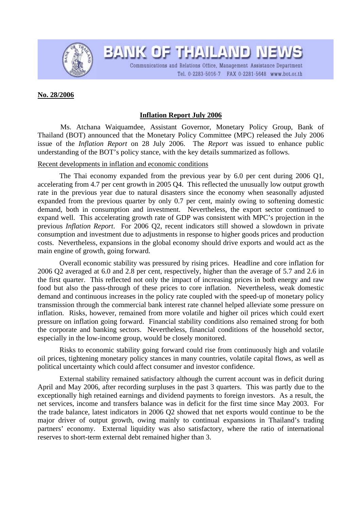

BANK OF THAILAND NEWS Communications and Relations Office, Management Assistance Department Tel. 0-2283-5016-7 FAX 0-2281-5648 www.bot.or.th

# **No. 28/2006**

# **Inflation Report July 2006**

Ms. Atchana Waiquamdee, Assistant Governor, Monetary Policy Group, Bank of Thailand (BOT) announced that the Monetary Policy Committee (MPC) released the July 2006 issue of the *Inflation Report* on 28 July 2006. The *Report* was issued to enhance public understanding of the BOT's policy stance, with the key details summarized as follows.

### Recent developments in inflation and economic conditions

The Thai economy expanded from the previous year by 6.0 per cent during 2006 Q1, accelerating from 4.7 per cent growth in 2005 Q4. This reflected the unusually low output growth rate in the previous year due to natural disasters since the economy when seasonally adjusted expanded from the previous quarter by only 0.7 per cent, mainly owing to softening domestic demand, both in consumption and investment. Nevertheless, the export sector continued to expand well. This accelerating growth rate of GDP was consistent with MPC's projection in the previous *Inflation Report*. For 2006 Q2, recent indicators still showed a slowdown in private consumption and investment due to adjustments in response to higher goods prices and production costs. Nevertheless, expansions in the global economy should drive exports and would act as the main engine of growth, going forward.

Overall economic stability was pressured by rising prices. Headline and core inflation for 2006 Q2 averaged at 6.0 and 2.8 per cent, respectively, higher than the average of 5.7 and 2.6 in the first quarter. This reflected not only the impact of increasing prices in both energy and raw food but also the pass-through of these prices to core inflation. Nevertheless, weak domestic demand and continuous increases in the policy rate coupled with the speed-up of monetary policy transmission through the commercial bank interest rate channel helped alleviate some pressure on inflation. Risks, however, remained from more volatile and higher oil prices which could exert pressure on inflation going forward. Financial stability conditions also remained strong for both the corporate and banking sectors. Nevertheless, financial conditions of the household sector, especially in the low-income group, would be closely monitored.

Risks to economic stability going forward could rise from continuously high and volatile oil prices, tightening monetary policy stances in many countries, volatile capital flows, as well as political uncertainty which could affect consumer and investor confidence.

External stability remained satisfactory although the current account was in deficit during April and May 2006, after recording surpluses in the past 3 quarters. This was partly due to the exceptionally high retained earnings and dividend payments to foreign investors. As a result, the net services, income and transfers balance was in deficit for the first time since May 2003. For the trade balance, latest indicators in 2006 Q2 showed that net exports would continue to be the major driver of output growth, owing mainly to continual expansions in Thailand's trading partners' economy. External liquidity was also satisfactory, where the ratio of international reserves to short-term external debt remained higher than 3.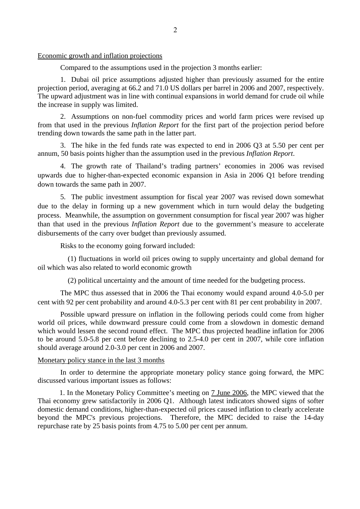#### Economic growth and inflation projections

Compared to the assumptions used in the projection 3 months earlier:

 1. Dubai oil price assumptions adjusted higher than previously assumed for the entire projection period, averaging at 66.2 and 71.0 US dollars per barrel in 2006 and 2007, respectively. The upward adjustment was in line with continual expansions in world demand for crude oil while the increase in supply was limited.

2. Assumptions on non-fuel commodity prices and world farm prices were revised up from that used in the previous *Inflation Report* for the first part of the projection period before trending down towards the same path in the latter part.

3. The hike in the fed funds rate was expected to end in 2006 Q3 at 5.50 per cent per annum, 50 basis points higher than the assumption used in the previous *Inflation Report*.

 4. The growth rate of Thailand's trading partners' economies in 2006 was revised upwards due to higher-than-expected economic expansion in Asia in 2006 Q1 before trending down towards the same path in 2007.

 5. The public investment assumption for fiscal year 2007 was revised down somewhat due to the delay in forming up a new government which in turn would delay the budgeting process. Meanwhile, the assumption on government consumption for fiscal year 2007 was higher than that used in the previous *Inflation Report* due to the government's measure to accelerate disbursements of the carry over budget than previously assumed.

Risks to the economy going forward included:

 (1) fluctuations in world oil prices owing to supply uncertainty and global demand for oil which was also related to world economic growth

(2) political uncertainty and the amount of time needed for the budgeting process.

The MPC thus assessed that in 2006 the Thai economy would expand around 4.0-5.0 per cent with 92 per cent probability and around 4.0-5.3 per cent with 81 per cent probability in 2007.

Possible upward pressure on inflation in the following periods could come from higher world oil prices, while downward pressure could come from a slowdown in domestic demand which would lessen the second round effect. The MPC thus projected headline inflation for 2006 to be around 5.0-5.8 per cent before declining to 2.5-4.0 per cent in 2007, while core inflation should average around 2.0-3.0 per cent in 2006 and 2007.

# Monetary policy stance in the last 3 months

In order to determine the appropriate monetary policy stance going forward, the MPC discussed various important issues as follows:

1. In the Monetary Policy Committee's meeting on 7 June 2006, the MPC viewed that the Thai economy grew satisfactorily in 2006 Q1. Although latest indicators showed signs of softer domestic demand conditions, higher-than-expected oil prices caused inflation to clearly accelerate beyond the MPC's previous projections. Therefore, the MPC decided to raise the 14-day repurchase rate by 25 basis points from 4.75 to 5.00 per cent per annum.